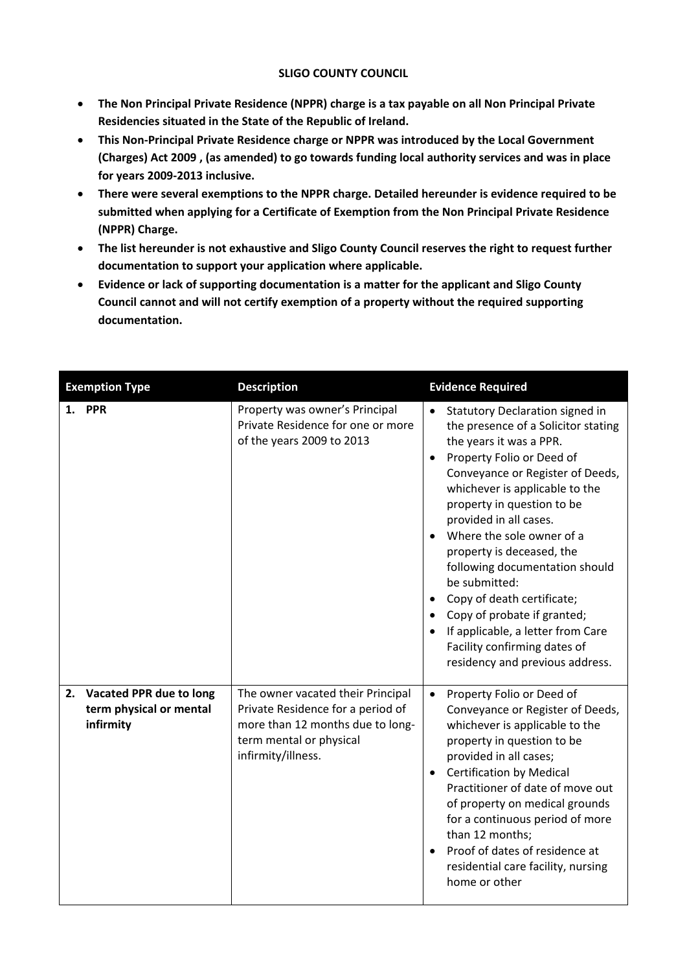## **SLIGO COUNTY COUNCIL**

- **The Non Principal Private Residence (NPPR) charge is a tax payable on all Non Principal Private Residencies situated in the State of the Republic of Ireland.**
- **This Non-Principal Private Residence charge or NPPR was introduced by the Local Government (Charges) Act 2009 , (as amended) to go towards funding local authority services and was in place for years 2009-2013 inclusive.**
- **There were several exemptions to the NPPR charge. Detailed hereunder is evidence required to be submitted when applying for a Certificate of Exemption from the Non Principal Private Residence (NPPR) Charge.**
- **The list hereunder is not exhaustive and Sligo County Council reserves the right to request further documentation to support your application where applicable.**
- **Evidence or lack of supporting documentation is a matter for the applicant and Sligo County Council cannot and will not certify exemption of a property without the required supporting documentation.**

| <b>Exemption Type</b>                                              | <b>Description</b>                                                                                                                                          | <b>Evidence Required</b>                                                                                                                                                                                                                                                                                                                                                                                                                                                                                                                       |
|--------------------------------------------------------------------|-------------------------------------------------------------------------------------------------------------------------------------------------------------|------------------------------------------------------------------------------------------------------------------------------------------------------------------------------------------------------------------------------------------------------------------------------------------------------------------------------------------------------------------------------------------------------------------------------------------------------------------------------------------------------------------------------------------------|
| 1. PPR                                                             | Property was owner's Principal<br>Private Residence for one or more<br>of the years 2009 to 2013                                                            | Statutory Declaration signed in<br>the presence of a Solicitor stating<br>the years it was a PPR.<br>Property Folio or Deed of<br>Conveyance or Register of Deeds,<br>whichever is applicable to the<br>property in question to be<br>provided in all cases.<br>Where the sole owner of a<br>property is deceased, the<br>following documentation should<br>be submitted:<br>Copy of death certificate;<br>Copy of probate if granted;<br>If applicable, a letter from Care<br>Facility confirming dates of<br>residency and previous address. |
| 2. Vacated PPR due to long<br>term physical or mental<br>infirmity | The owner vacated their Principal<br>Private Residence for a period of<br>more than 12 months due to long-<br>term mental or physical<br>infirmity/illness. | Property Folio or Deed of<br>$\bullet$<br>Conveyance or Register of Deeds,<br>whichever is applicable to the<br>property in question to be<br>provided in all cases;<br><b>Certification by Medical</b><br>$\bullet$<br>Practitioner of date of move out<br>of property on medical grounds<br>for a continuous period of more<br>than 12 months;<br>Proof of dates of residence at<br>residential care facility, nursing<br>home or other                                                                                                      |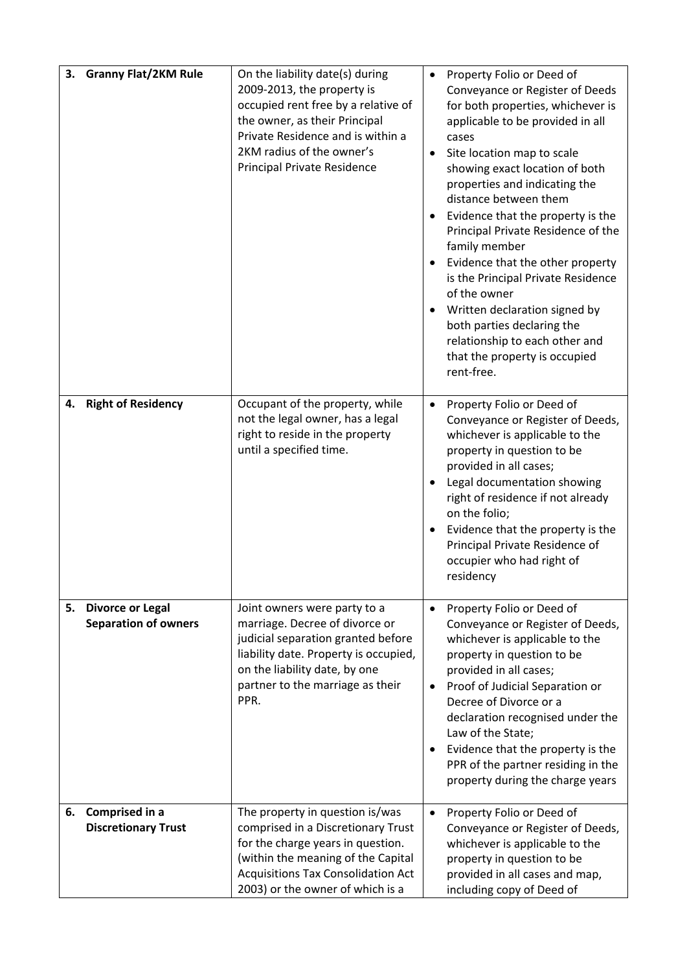|    | 3. Granny Flat/2KM Rule                                | On the liability date(s) during<br>2009-2013, the property is<br>occupied rent free by a relative of<br>the owner, as their Principal<br>Private Residence and is within a<br>2KM radius of the owner's<br><b>Principal Private Residence</b> | $\bullet$              | Property Folio or Deed of<br>Conveyance or Register of Deeds<br>for both properties, whichever is<br>applicable to be provided in all<br>cases<br>Site location map to scale<br>showing exact location of both<br>properties and indicating the<br>distance between them<br>Evidence that the property is the<br>Principal Private Residence of the<br>family member<br>Evidence that the other property<br>is the Principal Private Residence<br>of the owner<br>Written declaration signed by<br>both parties declaring the<br>relationship to each other and<br>that the property is occupied<br>rent-free. |
|----|--------------------------------------------------------|-----------------------------------------------------------------------------------------------------------------------------------------------------------------------------------------------------------------------------------------------|------------------------|----------------------------------------------------------------------------------------------------------------------------------------------------------------------------------------------------------------------------------------------------------------------------------------------------------------------------------------------------------------------------------------------------------------------------------------------------------------------------------------------------------------------------------------------------------------------------------------------------------------|
| 4. | <b>Right of Residency</b>                              | Occupant of the property, while<br>not the legal owner, has a legal<br>right to reside in the property<br>until a specified time.                                                                                                             | $\bullet$<br>$\bullet$ | Property Folio or Deed of<br>Conveyance or Register of Deeds,<br>whichever is applicable to the<br>property in question to be<br>provided in all cases;<br>Legal documentation showing<br>right of residence if not already<br>on the folio;<br>Evidence that the property is the<br>Principal Private Residence of<br>occupier who had right of<br>residency                                                                                                                                                                                                                                                  |
| 5. | <b>Divorce or Legal</b><br><b>Separation of owners</b> | Joint owners were party to a<br>marriage. Decree of divorce or<br>judicial separation granted before<br>liability date. Property is occupied,<br>on the liability date, by one<br>partner to the marriage as their<br>PPR.                    | $\bullet$              | Property Folio or Deed of<br>Conveyance or Register of Deeds,<br>whichever is applicable to the<br>property in question to be<br>provided in all cases;<br>Proof of Judicial Separation or<br>Decree of Divorce or a<br>declaration recognised under the<br>Law of the State;<br>Evidence that the property is the<br>PPR of the partner residing in the<br>property during the charge years                                                                                                                                                                                                                   |
| 6. | Comprised in a<br><b>Discretionary Trust</b>           | The property in question is/was<br>comprised in a Discretionary Trust<br>for the charge years in question.<br>(within the meaning of the Capital<br><b>Acquisitions Tax Consolidation Act</b><br>2003) or the owner of which is a             |                        | Property Folio or Deed of<br>Conveyance or Register of Deeds,<br>whichever is applicable to the<br>property in question to be<br>provided in all cases and map,<br>including copy of Deed of                                                                                                                                                                                                                                                                                                                                                                                                                   |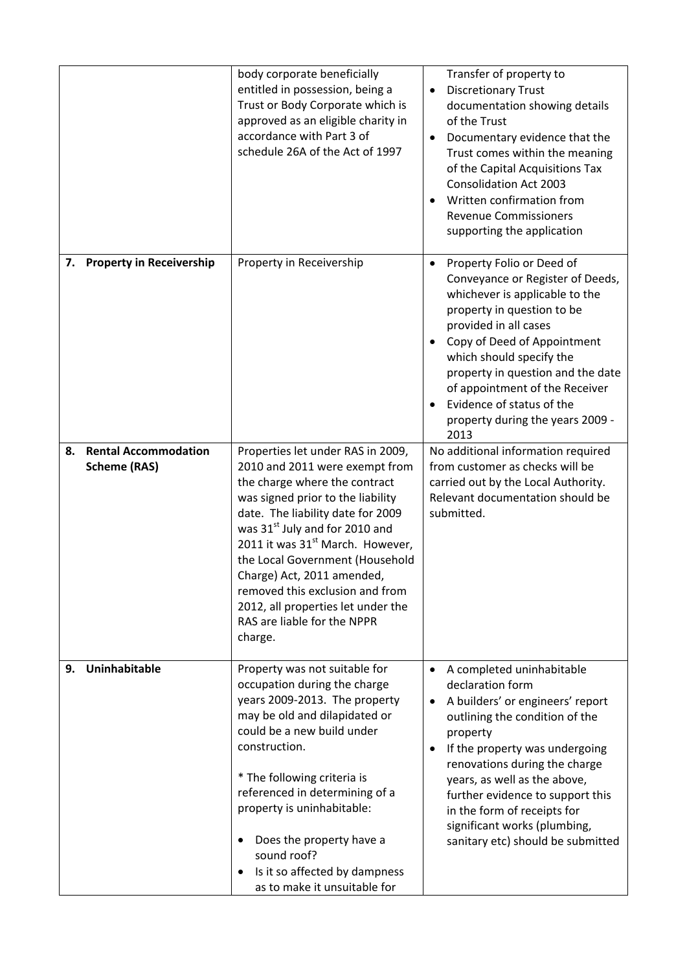|    |                                                    | body corporate beneficially<br>entitled in possession, being a<br>Trust or Body Corporate which is<br>approved as an eligible charity in<br>accordance with Part 3 of<br>schedule 26A of the Act of 1997                                                                                                                                                                                                                                             | Transfer of property to<br><b>Discretionary Trust</b><br>documentation showing details<br>of the Trust<br>Documentary evidence that the<br>Trust comes within the meaning<br>of the Capital Acquisitions Tax<br><b>Consolidation Act 2003</b><br>Written confirmation from<br><b>Revenue Commissioners</b><br>supporting the application                                                |
|----|----------------------------------------------------|------------------------------------------------------------------------------------------------------------------------------------------------------------------------------------------------------------------------------------------------------------------------------------------------------------------------------------------------------------------------------------------------------------------------------------------------------|-----------------------------------------------------------------------------------------------------------------------------------------------------------------------------------------------------------------------------------------------------------------------------------------------------------------------------------------------------------------------------------------|
|    | 7. Property in Receivership                        | Property in Receivership                                                                                                                                                                                                                                                                                                                                                                                                                             | Property Folio or Deed of<br>Conveyance or Register of Deeds,<br>whichever is applicable to the<br>property in question to be<br>provided in all cases<br>Copy of Deed of Appointment<br>which should specify the<br>property in question and the date<br>of appointment of the Receiver<br>Evidence of status of the<br>property during the years 2009 -<br>2013                       |
| 8. | <b>Rental Accommodation</b><br><b>Scheme (RAS)</b> | Properties let under RAS in 2009,<br>2010 and 2011 were exempt from<br>the charge where the contract<br>was signed prior to the liability<br>date. The liability date for 2009<br>was 31st July and for 2010 and<br>2011 it was 31 <sup>st</sup> March. However,<br>the Local Government (Household<br>Charge) Act, 2011 amended,<br>removed this exclusion and from<br>2012, all properties let under the<br>RAS are liable for the NPPR<br>charge. | No additional information required<br>from customer as checks will be<br>carried out by the Local Authority.<br>Relevant documentation should be<br>submitted.                                                                                                                                                                                                                          |
| 9. | Uninhabitable                                      | Property was not suitable for<br>occupation during the charge<br>years 2009-2013. The property<br>may be old and dilapidated or<br>could be a new build under<br>construction.<br>* The following criteria is<br>referenced in determining of a<br>property is uninhabitable:<br>Does the property have a<br>sound roof?<br>Is it so affected by dampness<br>as to make it unsuitable for                                                            | A completed uninhabitable<br>$\bullet$<br>declaration form<br>A builders' or engineers' report<br>outlining the condition of the<br>property<br>If the property was undergoing<br>renovations during the charge<br>years, as well as the above,<br>further evidence to support this<br>in the form of receipts for<br>significant works (plumbing,<br>sanitary etc) should be submitted |